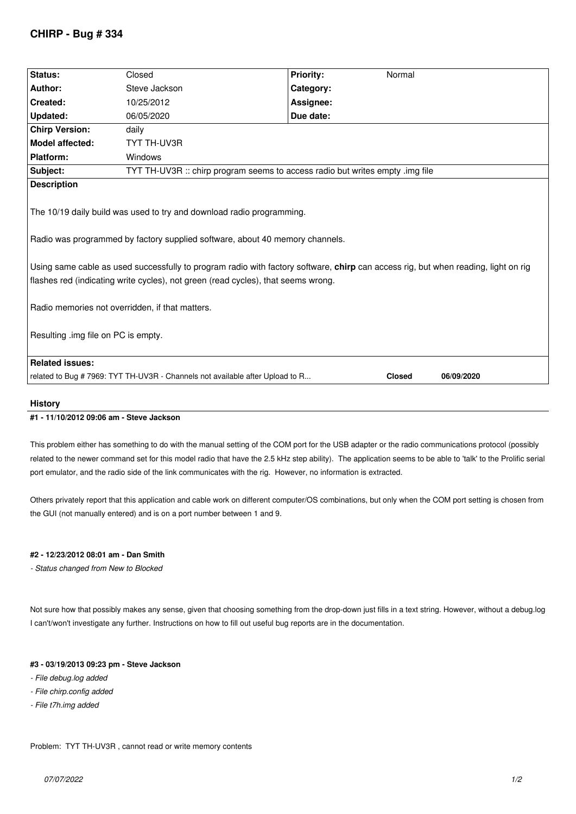# **CHIRP - Bug # 334**

| Status:                                                                                                                                                                                                                                                                                                                                                                                                                             | Closed                                                                        | <b>Priority:</b> | Normal        |            |  |
|-------------------------------------------------------------------------------------------------------------------------------------------------------------------------------------------------------------------------------------------------------------------------------------------------------------------------------------------------------------------------------------------------------------------------------------|-------------------------------------------------------------------------------|------------------|---------------|------------|--|
| Author:                                                                                                                                                                                                                                                                                                                                                                                                                             | Steve Jackson                                                                 | Category:        |               |            |  |
| Created:                                                                                                                                                                                                                                                                                                                                                                                                                            | 10/25/2012                                                                    | Assignee:        |               |            |  |
| Updated:                                                                                                                                                                                                                                                                                                                                                                                                                            | 06/05/2020                                                                    | Due date:        |               |            |  |
| <b>Chirp Version:</b>                                                                                                                                                                                                                                                                                                                                                                                                               | daily                                                                         |                  |               |            |  |
| <b>Model affected:</b>                                                                                                                                                                                                                                                                                                                                                                                                              | TYT TH-UV3R                                                                   |                  |               |            |  |
| Platform:                                                                                                                                                                                                                                                                                                                                                                                                                           | Windows                                                                       |                  |               |            |  |
| Subject:                                                                                                                                                                                                                                                                                                                                                                                                                            | TYT TH-UV3R :: chirp program seems to access radio but writes empty .img file |                  |               |            |  |
| <b>Description</b>                                                                                                                                                                                                                                                                                                                                                                                                                  |                                                                               |                  |               |            |  |
| The 10/19 daily build was used to try and download radio programming.<br>Radio was programmed by factory supplied software, about 40 memory channels.<br>Using same cable as used successfully to program radio with factory software, chirp can access rig, but when reading, light on rig<br>flashes red (indicating write cycles), not green (read cycles), that seems wrong.<br>Radio memories not overridden, if that matters. |                                                                               |                  |               |            |  |
| Resulting .img file on PC is empty.                                                                                                                                                                                                                                                                                                                                                                                                 |                                                                               |                  |               |            |  |
| <b>Related issues:</b>                                                                                                                                                                                                                                                                                                                                                                                                              |                                                                               |                  |               |            |  |
|                                                                                                                                                                                                                                                                                                                                                                                                                                     | related to Bug #7969: TYT TH-UV3R - Channels not available after Upload to R  |                  | <b>Closed</b> | 06/09/2020 |  |
|                                                                                                                                                                                                                                                                                                                                                                                                                                     |                                                                               |                  |               |            |  |

#### **History**

# **#1 - 11/10/2012 09:06 am - Steve Jackson**

*This problem either has something to do with the manual setting of the COM port for the USB adapter or the radio communications protocol (possibly related to the newer command set for this model radio that have the 2.5 kHz step ability). The application seems to be able to 'talk' to the Prolific serial port emulator, and the radio side of the link communicates with the rig. However, no information is extracted.*

*Others privately report that this application and cable work on different computer/OS combinations, but only when the COM port setting is chosen from the GUI (not manually entered) and is on a port number between 1 and 9.*

# **#2 - 12/23/2012 08:01 am - Dan Smith**

*- Status changed from New to Blocked*

*Not sure how that possibly makes any sense, given that choosing something from the drop-down just fills in a text string. However, without a debug.log I can't/won't investigate any further. Instructions on how to fill out useful bug reports are in the documentation.*

#### **#3 - 03/19/2013 09:23 pm - Steve Jackson**

- *File debug.log added*
- *File chirp.config added*
- *File t7h.img added*